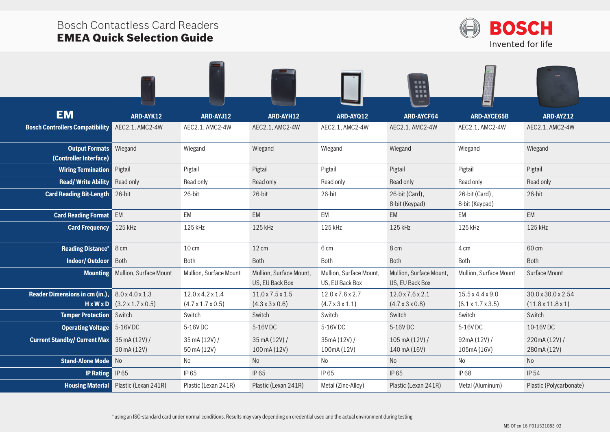## Bosch Contactless Card Readers EMEA Quick Selection Guide



|                                                 |                                                            |                                                               |                                                             |                                                 | <br>清菜園<br>送信集<br>重重算                           |                                                               |                                                     |
|-------------------------------------------------|------------------------------------------------------------|---------------------------------------------------------------|-------------------------------------------------------------|-------------------------------------------------|-------------------------------------------------|---------------------------------------------------------------|-----------------------------------------------------|
| <b>EM</b>                                       | ARD-AYK12                                                  | ARD-AYJ12                                                     | ARD-AYH12                                                   | ARD-AYQ12                                       | <b>ARD-AYCF64</b>                               | <b>ARD-AYCE65B</b>                                            | ARD-AYZ12                                           |
| <b>Bosch Controllers Compatibility</b>          | AEC2.1, AMC2-4W                                            | AEC2.1, AMC2-4W                                               | AEC2.1, AMC2-4W                                             | AEC2.1, AMC2-4W                                 | AEC2.1, AMC2-4W                                 | AEC2.1, AMC2-4W                                               | AEC2.1, AMC2-4W                                     |
| <b>Output Formats</b><br>(Controller Interface) | Wiegand                                                    | Wiegand                                                       | Wiegand                                                     | Wiegand                                         | Wiegand                                         | Wiegand                                                       | Wiegand                                             |
| <b>Wiring Termination</b>                       | Pigtail                                                    | Pigtail                                                       | Pigtail                                                     | Pigtail                                         | Pigtail                                         | Pigtail                                                       | Pigtail                                             |
| <b>Read/Write Ability</b>                       | Read only                                                  | Read only                                                     | Read only                                                   | Read only                                       | Read only                                       | Read only                                                     | Read only                                           |
| <b>Card Reading Bit-Length</b>                  | 26-bit                                                     | 26-bit                                                        | 26-bit                                                      | 26-bit                                          | 26-bit (Card),<br>8-bit (Keypad)                | 26-bit (Card),<br>8-bit (Keypad)                              | 26-bit                                              |
| <b>Card Reading Format</b>                      | EM                                                         | EM                                                            | EM                                                          | EM                                              | <b>EM</b>                                       | EM                                                            | EM                                                  |
| <b>Card Frequency</b>                           | 125 kHz                                                    | 125 kHz                                                       | 125 kHz                                                     | 125 kHz                                         | 125 kHz                                         | 125 kHz                                                       | 125 kHz                                             |
| <b>Reading Distance*</b>                        | 8 cm                                                       | $10 \text{ cm}$                                               | $12 \text{ cm}$                                             | 6 cm                                            | 8 cm                                            | 4 cm                                                          | 60 cm                                               |
| <b>Indoor/Outdoor</b>                           | Both                                                       | Both                                                          | Both                                                        | Both                                            | Both                                            | Both                                                          | Both                                                |
| <b>Mounting</b>                                 | Mullion, Surface Mount                                     | Mullion, Surface Mount                                        | Mullion, Surface Mount,<br>US, EU Back Box                  | Mullion, Surface Mount,<br>US, EU Back Box      | Mullion, Surface Mount,<br>US, EU Back Box      | Mullion, Surface Mount                                        | Surface Mount                                       |
| <b>Reader Dimensions in cm (in.),</b>           | 8.0 x 4.0 x 1.3<br>$H \times W \times D$ (3.2 x 1.7 x 0.5) | $12.0 \times 4.2 \times 1.4$<br>$(4.7 \times 1.7 \times 0.5)$ | $11.0 \times 7.5 \times 1.5$<br>$(4.3 \times 3 \times 0.6)$ | 12.0 x 7.6 x 2.7<br>$(4.7 \times 3 \times 1.1)$ | 12.0 x 7.6 x 2.1<br>$(4.7 \times 3 \times 0.8)$ | $15.5 \times 4.4 \times 9.0$<br>$(6.1 \times 1.7 \times 3.5)$ | 30.0 x 30.0 x 2.54<br>$(11.8 \times 11.8 \times 1)$ |
| <b>Tamper Protection</b>                        | Switch                                                     | Switch                                                        | Switch                                                      | Switch                                          | Switch                                          | Switch                                                        | Switch                                              |
| <b>Operating Voltage</b>                        | 5-16V DC                                                   | 5-16V DC                                                      | 5-16VDC                                                     | 5-16V DC                                        | 5-16V DC                                        | 5-16V DC                                                      | 10-16VDC                                            |
| <b>Current Standby/ Current Max</b>             | 35 mA (12V) /<br>50 mA (12V)                               | 35 mA (12V) /<br>50 mA (12V)                                  | 35 mA (12V) /<br>100 mA (12V)                               | 35mA (12V) /<br>100mA (12V)                     | $105 \text{ mA} (12V) /$<br>140 mA (16V)        | 92mA (12V) /<br>105mA (16V)                                   | 220mA (12V) /<br>280mA (12V)                        |
| <b>Stand-Alone Mode</b>                         | No                                                         | No                                                            | <b>No</b>                                                   | No                                              | No                                              | No                                                            | No                                                  |
| <b>IP Rating</b>                                | IP 65                                                      | IP 65                                                         | IP 65                                                       | IP 65                                           | IP 65                                           | <b>IP68</b>                                                   | <b>IP 54</b>                                        |
| <b>Housing Material</b>                         | Plastic (Lexan 241R)                                       | Plastic (Lexan 241R)                                          | Plastic (Lexan 241R)                                        | Metal (Zinc-Alloy)                              | Plastic (Lexan 241R)                            | Metal (Aluminum)                                              | Plastic (Polycarbonate)                             |
|                                                 |                                                            |                                                               |                                                             |                                                 |                                                 |                                                               |                                                     |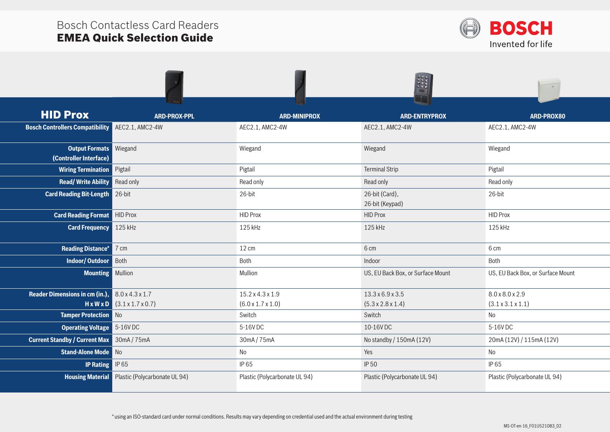

| <b>HID Prox</b>                                                   | <b>ARD-PROX-PPL</b>                     | <b>ARD-MINIPROX</b>           | <b>ARD-ENTRYPROX</b>              | ARD-PROX80                        |
|-------------------------------------------------------------------|-----------------------------------------|-------------------------------|-----------------------------------|-----------------------------------|
| <b>Bosch Controllers Compatibility</b>                            | AEC2.1, AMC2-4W                         | AEC2.1, AMC2-4W               | AEC2.1, AMC2-4W                   | AEC2.1, AMC2-4W                   |
| <b>Output Formats</b><br>(Controller Interface)                   | Wiegand                                 | Wiegand                       | Wiegand                           | Wiegand                           |
| <b>Wiring Termination</b>                                         | Pigtail                                 | Pigtail                       | <b>Terminal Strip</b>             | Pigtail                           |
| <b>Read/Write Ability</b>                                         | Read only                               | Read only                     | Read only                         | Read only                         |
| <b>Card Reading Bit-Length</b>                                    | 26-bit                                  | 26-bit                        | 26-bit (Card),<br>26-bit (Keypad) | 26-bit                            |
| <b>Card Reading Format</b>                                        | <b>HID Prox</b>                         | <b>HID Prox</b>               | <b>HID Prox</b>                   | <b>HID Prox</b>                   |
| <b>Card Frequency</b>                                             | 125 kHz                                 | 125 kHz                       | 125 kHz                           | 125 kHz                           |
| <b>Reading Distance*</b>                                          | 7 cm                                    | $12 \text{ cm}$               | 6 cm                              | 6 cm                              |
| <b>Indoor/Outdoor</b>                                             | Both                                    | Both                          | Indoor                            | Both                              |
| <b>Mounting Mullion</b>                                           |                                         | Mullion                       | US, EU Back Box, or Surface Mount | US, EU Back Box, or Surface Mount |
| <b>Reader Dimensions in cm (in.),</b> $8.0 \times 4.3 \times 1.7$ |                                         | $15.2 \times 4.3 \times 1.9$  | $13.3 \times 6.9 \times 3.5$      | 8.0 x 8.0 x 2.9                   |
|                                                                   | $H \times W \times D$ (3.1 x 1.7 x 0.7) | $(6.0 \times 1.7 \times 1.0)$ | $(5.3 \times 2.8 \times 1.4)$     | $(3.1 \times 3.1 \times 1.1)$     |
| <b>Tamper Protection</b>                                          | $\blacksquare$ No                       | Switch                        | Switch                            | No                                |
| <b>Operating Voltage</b>                                          | 5-16V DC                                | 5-16V DC                      | 10-16VDC                          | 5-16V DC                          |
| <b>Current Standby / Current Max</b>                              | 30mA/75mA                               | 30mA/75mA                     | No standby / 150mA (12V)          | 20mA (12V) / 115mA (12V)          |
| <b>Stand-Alone Mode</b> No                                        |                                         | No                            | Yes                               | No                                |
| <b>IP Rating</b>                                                  | IP 65                                   | IP 65                         | <b>IP 50</b>                      | IP 65                             |
| <b>Housing Material</b>                                           | Plastic (Polycarbonate UL 94)           | Plastic (Polycarbonate UL 94) | Plastic (Polycarbonate UL 94)     | Plastic (Polycarbonate UL 94)     |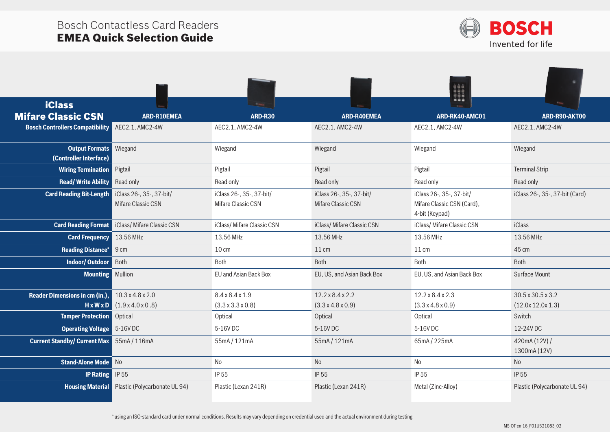

|                                                 |                                                |                                                |                                                | H                                                                        |                                |
|-------------------------------------------------|------------------------------------------------|------------------------------------------------|------------------------------------------------|--------------------------------------------------------------------------|--------------------------------|
| <b>iClass</b>                                   |                                                | <b>Black</b>                                   |                                                | $-$                                                                      | <b>Time</b>                    |
| <b>Mifare Classic CSN</b>                       | <b>ARD-R10EMEA</b>                             | ARD-R30                                        | <b>ARD-R40EMEA</b>                             | ARD-RK40-AMC01                                                           | ARD-R90-AKT00                  |
| <b>Bosch Controllers Compatibility</b>          | AEC2.1, AMC2-4W                                | AEC2.1, AMC2-4W                                | AEC2.1, AMC2-4W                                | AEC2.1, AMC2-4W                                                          | AEC2.1, AMC2-4W                |
| <b>Output Formats</b><br>(Controller Interface) | Wiegand                                        | Wiegand                                        | Wiegand                                        | Wiegand                                                                  | Wiegand                        |
| <b>Wiring Termination</b>                       | Pigtail                                        | Pigtail                                        | Pigtail                                        | Pigtail                                                                  | <b>Terminal Strip</b>          |
| <b>Read/Write Ability</b>                       | Read only                                      | Read only                                      | Read only                                      | Read only                                                                | Read only                      |
| <b>Card Reading Bit-Length</b>                  | iClass 26-, 35-, 37-bit/<br>Mifare Classic CSN | iClass 26-, 35-, 37-bit/<br>Mifare Classic CSN | iClass 26-, 35-, 37-bit/<br>Mifare Classic CSN | iClass 26-, 35-, 37-bit/<br>Mifare Classic CSN (Card),<br>4-bit (Keypad) | iClass 26-, 35-, 37-bit (Card) |
| <b>Card Reading Format</b>                      | iClass/Mifare Classic CSN                      | iClass/Mifare Classic CSN                      | iClass/ Mifare Classic CSN                     | iClass/Mifare Classic CSN                                                | <b>iClass</b>                  |
| <b>Card Frequency</b>                           | 13.56 MHz                                      | 13.56 MHz                                      | 13.56 MHz                                      | 13.56 MHz                                                                | 13.56 MHz                      |
| <b>Reading Distance*</b>                        | 9 cm                                           | $10 \text{ cm}$                                | $11 \text{ cm}$                                | $11 \text{ cm}$                                                          | 45 cm                          |
| <b>Indoor/Outdoor</b>                           | Both                                           | Both                                           | Both                                           | Both                                                                     | Both                           |
| <b>Mounting</b> Mullion                         |                                                | EU and Asian Back Box                          | EU, US, and Asian Back Box                     | EU, US, and Asian Back Box                                               | Surface Mount                  |
| <b>Reader Dimensions in cm (in.),</b>           | $10.3 \times 4.8 \times 2.0$                   | 8.4 x 8.4 x 1.9                                | $12.2 \times 8.4 \times 2.2$                   | $12.2 \times 8.4 \times 2.3$                                             | $30.5 \times 30.5 \times 3.2$  |
|                                                 | $H \times W \times D$ (1.9 x 4.0 x 0.8)        | $(3.3 \times 3.3 \times 0.8)$                  | $(3.3 \times 4.8 \times 0.9)$                  | $(3.3 \times 4.8 \times 0.9)$                                            | (12.0x 12.0x 1.3)              |
| <b>Tamper Protection</b>                        | Optical                                        | Optical                                        | Optical                                        | Optical                                                                  | Switch                         |
| <b>Operating Voltage</b>                        | 5-16V DC                                       | 5-16V DC                                       | 5-16V DC                                       | 5-16V DC                                                                 | 12-24V DC                      |
| <b>Current Standby/ Current Max</b> 55mA/116mA  |                                                | 55mA/121mA                                     | 55mA/121mA                                     | 65mA/225mA                                                               | 420mA (12V) /<br>1300mA (12V)  |
| <b>Stand-Alone Mode</b>                         | $\blacksquare$ No                              | No                                             | <b>No</b>                                      | No                                                                       | No                             |
| <b>IP Rating</b>                                | IP 55                                          | IP 55                                          | IP 55                                          | IP 55                                                                    | <b>IP 55</b>                   |
| <b>Housing Material</b>                         | Plastic (Polycarbonate UL 94)                  | Plastic (Lexan 241R)                           | Plastic (Lexan 241R)                           | Metal (Zinc-Alloy)                                                       | Plastic (Polycarbonate UL 94)  |

\* using an ISO-standard card under normal conditions. Results may vary depending on credential used and the actual environment during testing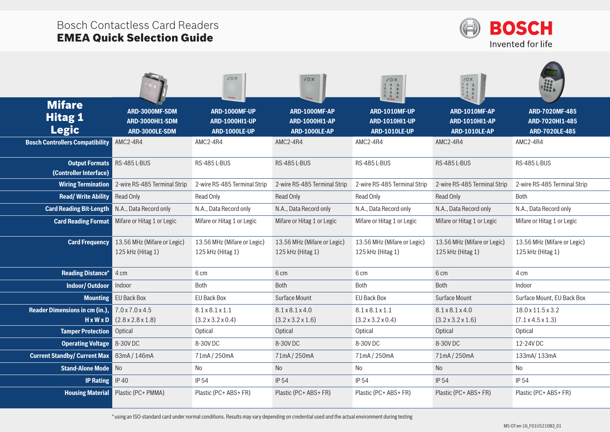

|                                                 |                                                              | <b>JOX</b>                                                     | 70x                                                            | 10x<br>113<br>111<br>$\frac{1}{2}$                             | 70X<br>H                                                |                                                     |
|-------------------------------------------------|--------------------------------------------------------------|----------------------------------------------------------------|----------------------------------------------------------------|----------------------------------------------------------------|---------------------------------------------------------|-----------------------------------------------------|
| <b>Mifare</b><br><b>Hitag 1</b><br><b>Legic</b> | ARD-3000MF-SDM<br><b>ARD-3000HI1-SDM</b><br>ARD-3000LE-SDM   | ARD-1000MF-UP<br><b>ARD-1000HI1-UP</b><br><b>ARD-1000LE-UP</b> | ARD-1000MF-AP<br><b>ARD-1000HI1-AP</b><br><b>ARD-1000LE-AP</b> | ARD-1010MF-UP<br><b>ARD-1010HI1-UP</b><br><b>ARD-1010LE-UP</b> | ARD-1010MF-AP<br><b>ARD-1010HI1-AP</b><br>ARD-1010LE-AP | ARD-7020MF-485<br>ARD-7020HI1-485<br>ARD-7020LE-485 |
| <b>Bosch Controllers Compatibility</b>          | AMC2-4R4                                                     | AMC2-4R4                                                       | AMC2-4R4                                                       | AMC2-4R4                                                       | AMC2-4R4                                                | AMC2-4R4                                            |
| <b>Output Formats</b><br>(Controller Interface) | <b>RS-485 L-BUS</b>                                          | RS-485 L-BUS                                                   | RS-485 L-BUS                                                   | RS-485 L-BUS                                                   | <b>RS-485 L-BUS</b>                                     | RS-485 L-BUS                                        |
| <b>Wiring Termination</b>                       | 2-wire RS-485 Terminal Strip                                 | 2-wire RS-485 Terminal Strip                                   | 2-wire RS-485 Terminal Strip                                   | 2-wire RS-485 Terminal Strip                                   | 2-wire RS-485 Terminal Strip                            | 2-wire RS-485 Terminal Strip                        |
| <b>Read/Write Ability</b>                       | Read Only                                                    | Read Only                                                      | <b>Read Only</b>                                               | <b>Read Only</b>                                               | Read Only                                               | <b>Both</b>                                         |
| <b>Card Reading Bit-Length</b>                  | N.A., Data Record only                                       | N.A., Data Record only                                         | N.A., Data Record only                                         | N.A., Data Record only                                         | N.A., Data Record only                                  | N.A., Data Record only                              |
| <b>Card Reading Format</b>                      | Mifare or Hitag 1 or Legic                                   | Mifare or Hitag 1 or Legic                                     | Mifare or Hitag 1 or Legic                                     | Mifare or Hitag 1 or Legic                                     | Mifare or Hitag 1 or Legic                              | Mifare or Hitag 1 or Legic                          |
| <b>Card Frequency</b>                           | 13.56 MHz (Mifare or Legic)<br>125 kHz (Hitag 1)             | 13.56 MHz (Mifare or Legic)<br>125 kHz (Hitag 1)               | 13.56 MHz (Mifare or Legic)<br>125 kHz (Hitag 1)               | 13.56 MHz (Mifare or Legic)<br>125 kHz (Hitag 1)               | 13.56 MHz (Mifare or Legic)<br>125 kHz (Hitag 1)        | 13.56 MHz (Mifare or Legic)<br>125 kHz (Hitag 1)    |
| <b>Reading Distance*</b>                        | 4 cm                                                         | 6 cm                                                           | 6 cm                                                           | 6 cm                                                           | 6 cm                                                    | 4 cm                                                |
| <b>Indoor/Outdoor</b>                           | Indoor                                                       | <b>Both</b>                                                    | <b>Both</b>                                                    | Both                                                           | <b>Both</b>                                             | Indoor                                              |
| <b>Mounting</b>                                 | EU Back Box                                                  | <b>EU Back Box</b>                                             | Surface Mount                                                  | <b>EU Back Box</b>                                             | Surface Mount                                           | Surface Mount, EU Back Box                          |
| <b>Reader Dimensions in cm (in.),</b><br>HxWxD  | $7.0 \times 7.0 \times 4.5$<br>$(2.8 \times 2.8 \times 1.8)$ | 8.1 x 8.1 x 1.1<br>$(3.2 \times 3.2 \times 0.4)$               | 8.1 x 8.1 x 4.0<br>$(3.2 \times 3.2 \times 1.6)$               | $8.1 \times 8.1 \times 1.1$<br>$(3.2 \times 3.2 \times 0.4)$   | 8.1 x 8.1 x 4.0<br>$(3.2 \times 3.2 \times 1.6)$        | 18.0 x 11.5 x 3.2<br>$(7.1 \times 4.5 \times 1.3)$  |
| <b>Tamper Protection</b>                        | Optical                                                      | Optical                                                        | Optical                                                        | Optical                                                        | Optical                                                 | Optical                                             |
| <b>Operating Voltage</b>                        | 8-30V DC                                                     | 8-30V DC                                                       | 8-30V DC                                                       | 8-30V DC                                                       | 8-30V DC                                                | 12-24V DC                                           |
| <b>Current Standby/ Current Max</b>             | 83mA / 146mA                                                 | 71mA/250mA                                                     | 71mA/250mA                                                     | 71mA/250mA                                                     | 71mA/250mA                                              | 133mA/133mA                                         |
| <b>Stand-Alone Mode</b>                         | <b>No</b>                                                    | No                                                             | <b>No</b>                                                      | No                                                             | No                                                      | No                                                  |
| <b>IP Rating</b>                                | <b>IP40</b>                                                  | <b>IP 54</b>                                                   | <b>IP 54</b>                                                   | <b>IP 54</b>                                                   | <b>IP 54</b>                                            | IP 54                                               |
| <b>Housing Material</b>                         | Plastic (PC+ PMMA)                                           | Plastic (PC+ ABS+ FR)                                          | Plastic (PC+ ABS+ FR)                                          | Plastic (PC+ ABS+ FR)                                          | Plastic (PC+ ABS+ FR)                                   | Plastic (PC+ ABS+ FR)                               |